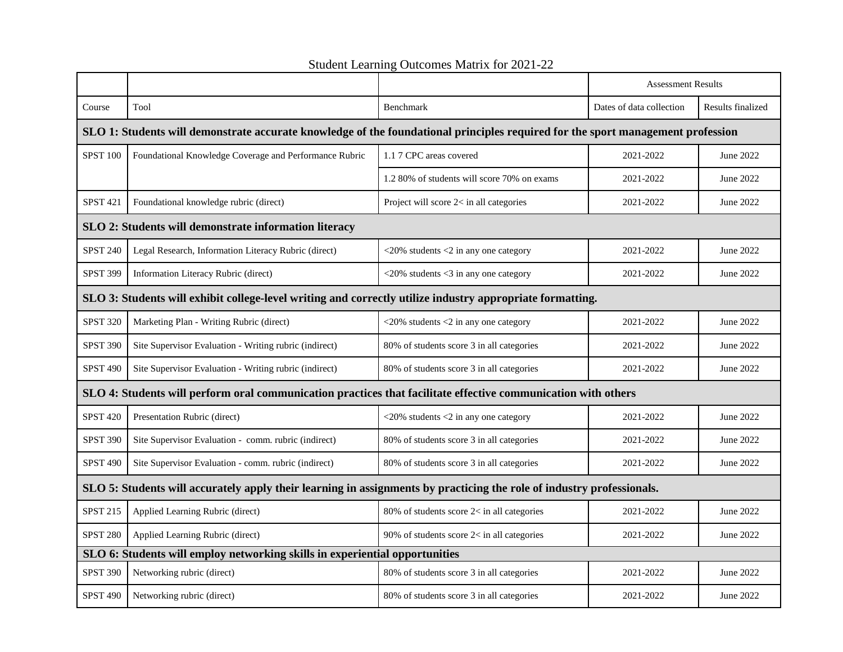|                                                                                                                                 |                                                        |                                              | <b>Assessment Results</b> |                   |  |  |
|---------------------------------------------------------------------------------------------------------------------------------|--------------------------------------------------------|----------------------------------------------|---------------------------|-------------------|--|--|
| Course                                                                                                                          | Tool                                                   | Benchmark                                    | Dates of data collection  | Results finalized |  |  |
| SLO 1: Students will demonstrate accurate knowledge of the foundational principles required for the sport management profession |                                                        |                                              |                           |                   |  |  |
| <b>SPST 100</b>                                                                                                                 | Foundational Knowledge Coverage and Performance Rubric | 1.1 7 CPC areas covered                      | 2021-2022                 | June 2022         |  |  |
|                                                                                                                                 |                                                        | 1.2 80% of students will score 70% on exams  | 2021-2022                 | June 2022         |  |  |
| <b>SPST 421</b>                                                                                                                 | Foundational knowledge rubric (direct)                 | Project will score $2 <$ in all categories   | 2021-2022                 | June 2022         |  |  |
| SLO 2: Students will demonstrate information literacy                                                                           |                                                        |                                              |                           |                   |  |  |
| <b>SPST 240</b>                                                                                                                 | Legal Research, Information Literacy Rubric (direct)   | $<$ 20% students $<$ 2 in any one category   | 2021-2022                 | June 2022         |  |  |
| <b>SPST 399</b>                                                                                                                 | Information Literacy Rubric (direct)                   | $<$ 20% students $<$ 3 in any one category   | 2021-2022                 | June 2022         |  |  |
| SLO 3: Students will exhibit college-level writing and correctly utilize industry appropriate formatting.                       |                                                        |                                              |                           |                   |  |  |
| <b>SPST 320</b>                                                                                                                 | Marketing Plan - Writing Rubric (direct)               | $<$ 20% students $<$ 2 in any one category   | 2021-2022                 | June 2022         |  |  |
| <b>SPST 390</b>                                                                                                                 | Site Supervisor Evaluation - Writing rubric (indirect) | 80% of students score 3 in all categories    | 2021-2022                 | June 2022         |  |  |
| <b>SPST 490</b>                                                                                                                 | Site Supervisor Evaluation - Writing rubric (indirect) | 80% of students score 3 in all categories    | 2021-2022                 | June 2022         |  |  |
| SLO 4: Students will perform oral communication practices that facilitate effective communication with others                   |                                                        |                                              |                           |                   |  |  |
| <b>SPST 420</b>                                                                                                                 | Presentation Rubric (direct)                           | $<$ 20% students $<$ 2 in any one category   | 2021-2022                 | June 2022         |  |  |
| <b>SPST 390</b>                                                                                                                 | Site Supervisor Evaluation - comm. rubric (indirect)   | 80% of students score 3 in all categories    | 2021-2022                 | June 2022         |  |  |
| <b>SPST 490</b>                                                                                                                 | Site Supervisor Evaluation - comm. rubric (indirect)   | 80% of students score 3 in all categories    | 2021-2022                 | June 2022         |  |  |
| SLO 5: Students will accurately apply their learning in assignments by practicing the role of industry professionals.           |                                                        |                                              |                           |                   |  |  |
| SPST 215                                                                                                                        | Applied Learning Rubric (direct)                       | 80% of students score 2< in all categories   | 2021-2022                 | June 2022         |  |  |
| <b>SPST 280</b>                                                                                                                 | Applied Learning Rubric (direct)                       | 90% of students score $2<$ in all categories | 2021-2022                 | June 2022         |  |  |
| SLO 6: Students will employ networking skills in experiential opportunities                                                     |                                                        |                                              |                           |                   |  |  |
| <b>SPST 390</b>                                                                                                                 | Networking rubric (direct)                             | 80% of students score 3 in all categories    | 2021-2022                 | June 2022         |  |  |
| <b>SPST 490</b>                                                                                                                 | Networking rubric (direct)                             | 80% of students score 3 in all categories    | 2021-2022                 | June 2022         |  |  |

Student Learning Outcomes Matrix for 2021-22